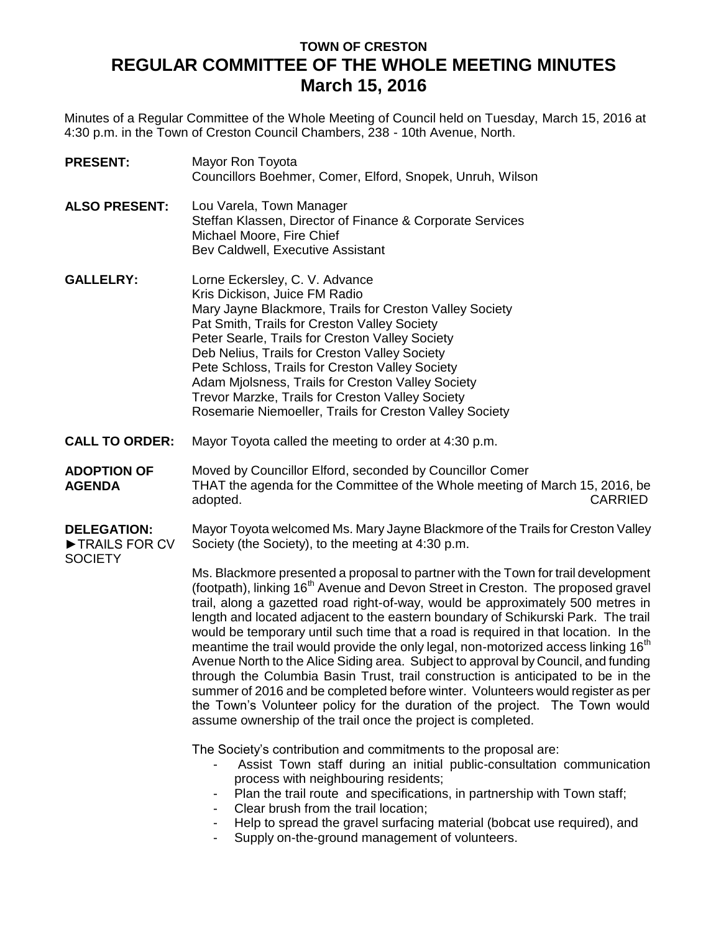# **TOWN OF CRESTON REGULAR COMMITTEE OF THE WHOLE MEETING MINUTES March 15, 2016**

Minutes of a Regular Committee of the Whole Meeting of Council held on Tuesday, March 15, 2016 at 4:30 p.m. in the Town of Creston Council Chambers, 238 - 10th Avenue, North.

| <b>PRESENT:</b>                                       | Mayor Ron Toyota<br>Councillors Boehmer, Comer, Elford, Snopek, Unruh, Wilson                                                                                                                                                                                                                                                                                                                                                                                                                                                                                                                                                                                                                                                                                                                                                                                                                                                                                  |
|-------------------------------------------------------|----------------------------------------------------------------------------------------------------------------------------------------------------------------------------------------------------------------------------------------------------------------------------------------------------------------------------------------------------------------------------------------------------------------------------------------------------------------------------------------------------------------------------------------------------------------------------------------------------------------------------------------------------------------------------------------------------------------------------------------------------------------------------------------------------------------------------------------------------------------------------------------------------------------------------------------------------------------|
| <b>ALSO PRESENT:</b>                                  | Lou Varela, Town Manager<br>Steffan Klassen, Director of Finance & Corporate Services<br>Michael Moore, Fire Chief<br>Bev Caldwell, Executive Assistant                                                                                                                                                                                                                                                                                                                                                                                                                                                                                                                                                                                                                                                                                                                                                                                                        |
| <b>GALLELRY:</b>                                      | Lorne Eckersley, C. V. Advance<br>Kris Dickison, Juice FM Radio<br>Mary Jayne Blackmore, Trails for Creston Valley Society<br>Pat Smith, Trails for Creston Valley Society<br>Peter Searle, Trails for Creston Valley Society<br>Deb Nelius, Trails for Creston Valley Society<br>Pete Schloss, Trails for Creston Valley Society<br>Adam Mjolsness, Trails for Creston Valley Society<br>Trevor Marzke, Trails for Creston Valley Society<br>Rosemarie Niemoeller, Trails for Creston Valley Society                                                                                                                                                                                                                                                                                                                                                                                                                                                          |
| <b>CALL TO ORDER:</b>                                 | Mayor Toyota called the meeting to order at 4:30 p.m.                                                                                                                                                                                                                                                                                                                                                                                                                                                                                                                                                                                                                                                                                                                                                                                                                                                                                                          |
| <b>ADOPTION OF</b><br><b>AGENDA</b>                   | Moved by Councillor Elford, seconded by Councillor Comer<br>THAT the agenda for the Committee of the Whole meeting of March 15, 2016, be<br>adopted.<br><b>CARRIED</b>                                                                                                                                                                                                                                                                                                                                                                                                                                                                                                                                                                                                                                                                                                                                                                                         |
| <b>DELEGATION:</b><br>TRAILS FOR CV<br><b>SOCIETY</b> | Mayor Toyota welcomed Ms. Mary Jayne Blackmore of the Trails for Creston Valley<br>Society (the Society), to the meeting at 4:30 p.m.                                                                                                                                                                                                                                                                                                                                                                                                                                                                                                                                                                                                                                                                                                                                                                                                                          |
|                                                       | Ms. Blackmore presented a proposal to partner with the Town for trail development<br>(footpath), linking 16 <sup>th</sup> Avenue and Devon Street in Creston. The proposed gravel<br>trail, along a gazetted road right-of-way, would be approximately 500 metres in<br>length and located adjacent to the eastern boundary of Schikurski Park. The trail<br>would be temporary until such time that a road is required in that location. In the<br>meantime the trail would provide the only legal, non-motorized access linking 16 <sup>th</sup><br>Avenue North to the Alice Siding area. Subject to approval by Council, and funding<br>through the Columbia Basin Trust, trail construction is anticipated to be in the<br>summer of 2016 and be completed before winter. Volunteers would register as per<br>the Town's Volunteer policy for the duration of the project. The Town would<br>assume ownership of the trail once the project is completed. |
|                                                       | The Society's contribution and commitments to the proposal are:<br>Assist Town staff during an initial public-consultation communication<br>process with neighbouring residents;<br>Plan the trail route and specifications, in partnership with Town staff;<br>Clear brush from the trail location;<br>Help to spread the gravel surfacing material (bobcat use required), and<br>Supply on-the-ground management of volunteers.                                                                                                                                                                                                                                                                                                                                                                                                                                                                                                                              |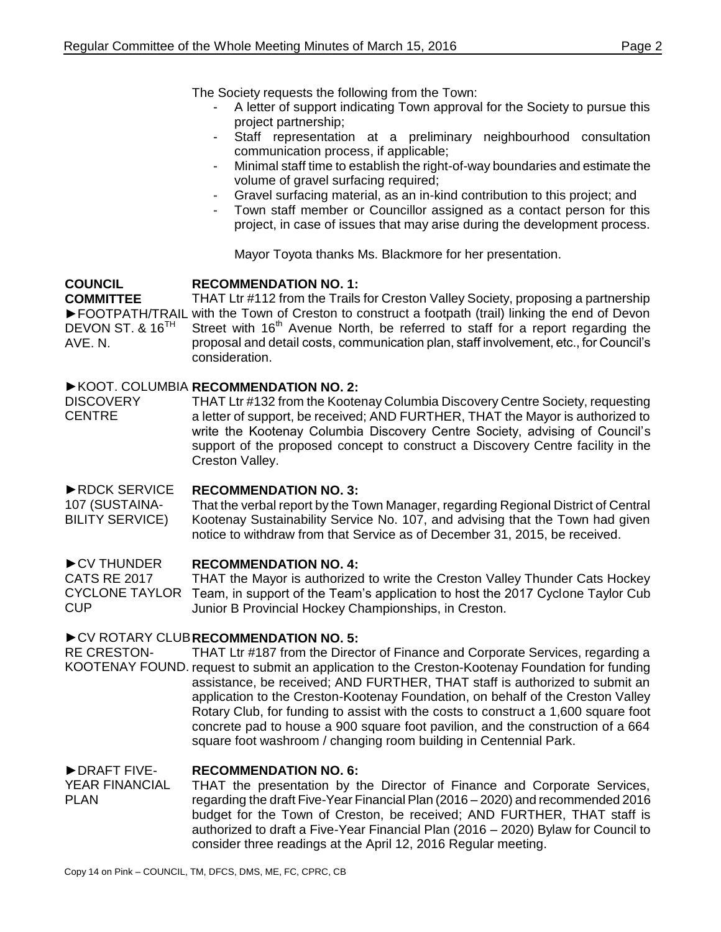The Society requests the following from the Town:

- A letter of support indicating Town approval for the Society to pursue this project partnership;
- Staff representation at a preliminary neighbourhood consultation communication process, if applicable;
- Minimal staff time to establish the right-of-way boundaries and estimate the volume of gravel surfacing required;
- Gravel surfacing material, as an in-kind contribution to this project; and
- Town staff member or Councillor assigned as a contact person for this project, in case of issues that may arise during the development process.

Mayor Toyota thanks Ms. Blackmore for her presentation.

#### **COUNCIL RECOMMENDATION NO. 1:**

**COMMITTEE** ►FOOTPATH/TRAIL with the Town of Creston to construct a footpath (trail) linking the end of Devon DEVON ST. & 16<sup>TH</sup> AVE. N. THAT Ltr #112 from the Trails for Creston Valley Society, proposing a partnership Street with  $16<sup>th</sup>$  Avenue North, be referred to staff for a report regarding the proposal and detail costs, communication plan, staff involvement, etc., for Council's consideration.

### ►KOOT. COLUMBIA **RECOMMENDATION NO. 2:**

**DISCOVERY** CENTRE THAT Ltr #132 from the Kootenay Columbia Discovery Centre Society, requesting a letter of support, be received; AND FURTHER, THAT the Mayor is authorized to write the Kootenay Columbia Discovery Centre Society, advising of Council's support of the proposed concept to construct a Discovery Centre facility in the Creston Valley.

►RDCK SERVICE 107 (SUSTAINA-BILITY SERVICE) **RECOMMENDATION NO. 3:** That the verbal report by the Town Manager, regarding Regional District of Central Kootenay Sustainability Service No. 107, and advising that the Town had given notice to withdraw from that Service as of December 31, 2015, be received.

#### ►CV THUNDER **RECOMMENDATION NO. 4:**

CATS RE 2017 CYCLONE TAYLOR CUP THAT the Mayor is authorized to write the Creston Valley Thunder Cats Hockey Team, in support of the Team's application to host the 2017 Cyclone Taylor Cub Junior B Provincial Hockey Championships, in Creston.

## ►CV ROTARY CLUB **RECOMMENDATION NO. 5:**

RE CRESTON-KOOTENAY FOUND. request to submit an application to the Creston-Kootenay Foundation for funding THAT Ltr #187 from the Director of Finance and Corporate Services, regarding a assistance, be received; AND FURTHER, THAT staff is authorized to submit an application to the Creston-Kootenay Foundation, on behalf of the Creston Valley Rotary Club, for funding to assist with the costs to construct a 1,600 square foot concrete pad to house a 900 square foot pavilion, and the construction of a 664 square foot washroom / changing room building in Centennial Park.

#### ►DRAFT FIVE-**RECOMMENDATION NO. 6:**

YEAR FINANCIAL PLAN THAT the presentation by the Director of Finance and Corporate Services, regarding the draft Five-Year Financial Plan (2016 – 2020) and recommended 2016 budget for the Town of Creston, be received; AND FURTHER, THAT staff is authorized to draft a Five-Year Financial Plan (2016 – 2020) Bylaw for Council to consider three readings at the April 12, 2016 Regular meeting.